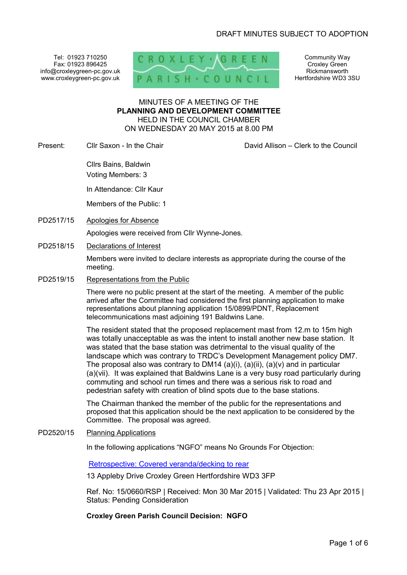Tel: 01923 710250 Fax: 01923 896425 info@croxleygreen-pc.gov.uk www.croxleygreen-pc.gov.uk



Community Way Croxley Green Rickmansworth Hertfordshire WD3 3SU

# MINUTES OF A MEETING OF THE **PLANNING AND DEVELOPMENT COMMITTEE** HELD IN THE COUNCIL CHAMBER ON WEDNESDAY 20 MAY 2015 at 8.00 PM

Present: Cllr Saxon - In the Chair Chair David Allison – Clerk to the Council

Cllrs Bains, Baldwin Voting Members: 3

In Attendance: Cllr Kaur

Members of the Public: 1

PD2517/15 Apologies for Absence

Apologies were received from Cllr Wynne-Jones.

PD2518/15 Declarations of Interest

Members were invited to declare interests as appropriate during the course of the meeting.

PD2519/15 Representations from the Public

There were no public present at the start of the meeting. A member of the public arrived after the Committee had considered the first planning application to make representations about planning application 15/0899/PDNT, Replacement telecommunications mast adjoining 191 Baldwins Lane.

The resident stated that the proposed replacement mast from 12.m to 15m high was totally unacceptable as was the intent to install another new base station. It was stated that the base station was detrimental to the visual quality of the landscape which was contrary to TRDC's Development Management policy DM7. The proposal also was contrary to DM14  $(a)(i)$ ,  $(a)(ii)$ ,  $(a)(v)$  and in particular (a)(vii). It was explained that Baldwins Lane is a very busy road particularly during commuting and school run times and there was a serious risk to road and pedestrian safety with creation of blind spots due to the base stations.

The Chairman thanked the member of the public for the representations and proposed that this application should be the next application to be considered by the Committee. The proposal was agreed.

# PD2520/15 Planning Applications

In the following applications "NGFO" means No Grounds For Objection:

Retrospective: Covered veranda/decking to rear

13 Appleby Drive Croxley Green Hertfordshire WD3 3FP

Ref. No: 15/0660/RSP | Received: Mon 30 Mar 2015 | Validated: Thu 23 Apr 2015 | Status: Pending Consideration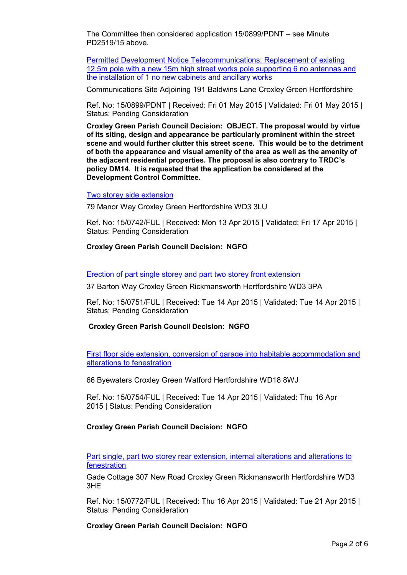The Committee then considered application 15/0899/PDNT – see Minute PD2519/15 above.

Permitted Development Notice Telecommunications: Replacement of existing 12.5m pole with a new 15m high street works pole supporting 6 no antennas and the installation of 1 no new cabinets and ancillary works

Communications Site Adjoining 191 Baldwins Lane Croxley Green Hertfordshire

Ref. No: 15/0899/PDNT | Received: Fri 01 May 2015 | Validated: Fri 01 May 2015 | Status: Pending Consideration

**Croxley Green Parish Council Decision: OBJECT. The proposal would by virtue of its siting, design and appearance be particularly prominent within the street scene and would further clutter this street scene. This would be to the detriment of both the appearance and visual amenity of the area as well as the amenity of the adjacent residential properties. The proposal is also contrary to TRDC's policy DM14. It is requested that the application be considered at the Development Control Committee.**

#### Two storey side extension

79 Manor Way Croxley Green Hertfordshire WD3 3LU

Ref. No: 15/0742/FUL | Received: Mon 13 Apr 2015 | Validated: Fri 17 Apr 2015 | Status: Pending Consideration

#### **Croxley Green Parish Council Decision: NGFO**

Erection of part single storey and part two storey front extension

37 Barton Way Croxley Green Rickmansworth Hertfordshire WD3 3PA

Ref. No: 15/0751/FUL | Received: Tue 14 Apr 2015 | Validated: Tue 14 Apr 2015 | Status: Pending Consideration

**Croxley Green Parish Council Decision: NGFO**

First floor side extension, conversion of garage into habitable accommodation and alterations to fenestration

66 Byewaters Croxley Green Watford Hertfordshire WD18 8WJ

Ref. No: 15/0754/FUL | Received: Tue 14 Apr 2015 | Validated: Thu 16 Apr 2015 | Status: Pending Consideration

# **Croxley Green Parish Council Decision: NGFO**

Part single, part two storey rear extension, internal alterations and alterations to fenestration

Gade Cottage 307 New Road Croxley Green Rickmansworth Hertfordshire WD3 3HE

Ref. No: 15/0772/FUL | Received: Thu 16 Apr 2015 | Validated: Tue 21 Apr 2015 | Status: Pending Consideration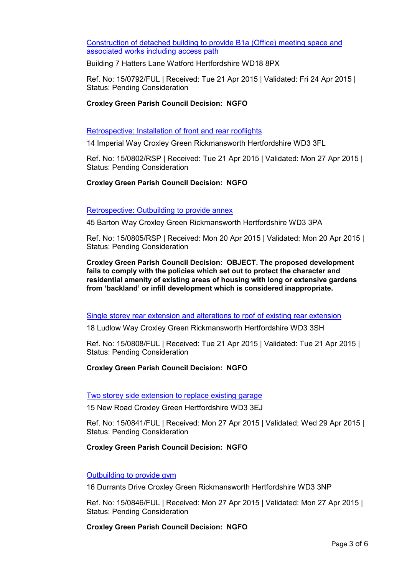Construction of detached building to provide B1a (Office) meeting space and associated works including access path

Building 7 Hatters Lane Watford Hertfordshire WD18 8PX

Ref. No: 15/0792/FUL | Received: Tue 21 Apr 2015 | Validated: Fri 24 Apr 2015 | Status: Pending Consideration

# **Croxley Green Parish Council Decision: NGFO**

#### Retrospective: Installation of front and rear rooflights

14 Imperial Way Croxley Green Rickmansworth Hertfordshire WD3 3FL

Ref. No: 15/0802/RSP | Received: Tue 21 Apr 2015 | Validated: Mon 27 Apr 2015 | Status: Pending Consideration

# **Croxley Green Parish Council Decision: NGFO**

#### Retrospective: Outbuilding to provide annex

45 Barton Way Croxley Green Rickmansworth Hertfordshire WD3 3PA

Ref. No: 15/0805/RSP | Received: Mon 20 Apr 2015 | Validated: Mon 20 Apr 2015 | Status: Pending Consideration

**Croxley Green Parish Council Decision: OBJECT. The proposed development fails to comply with the policies which set out to protect the character and residential amenity of existing areas of housing with long or extensive gardens from 'backland' or infill development which is considered inappropriate.**

Single storey rear extension and alterations to roof of existing rear extension

18 Ludlow Way Croxley Green Rickmansworth Hertfordshire WD3 3SH

Ref. No: 15/0808/FUL | Received: Tue 21 Apr 2015 | Validated: Tue 21 Apr 2015 | Status: Pending Consideration

# **Croxley Green Parish Council Decision: NGFO**

# Two storey side extension to replace existing garage

15 New Road Croxley Green Hertfordshire WD3 3EJ

Ref. No: 15/0841/FUL | Received: Mon 27 Apr 2015 | Validated: Wed 29 Apr 2015 | Status: Pending Consideration

# **Croxley Green Parish Council Decision: NGFO**

# Outbuilding to provide gym

16 Durrants Drive Croxley Green Rickmansworth Hertfordshire WD3 3NP

Ref. No: 15/0846/FUL | Received: Mon 27 Apr 2015 | Validated: Mon 27 Apr 2015 | Status: Pending Consideration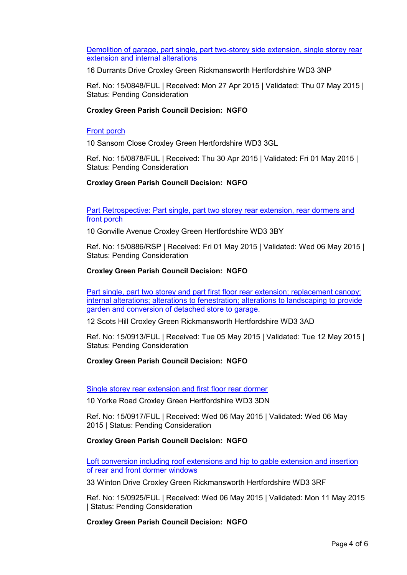Demolition of garage, part single, part two-storey side extension, single storey rear extension and internal alterations

16 Durrants Drive Croxley Green Rickmansworth Hertfordshire WD3 3NP

Ref. No: 15/0848/FUL | Received: Mon 27 Apr 2015 | Validated: Thu 07 May 2015 | Status: Pending Consideration

# **Croxley Green Parish Council Decision: NGFO**

# Front porch

10 Sansom Close Croxley Green Hertfordshire WD3 3GL

Ref. No: 15/0878/FUL | Received: Thu 30 Apr 2015 | Validated: Fri 01 May 2015 | Status: Pending Consideration

# **Croxley Green Parish Council Decision: NGFO**

Part Retrospective: Part single, part two storey rear extension, rear dormers and front porch

10 Gonville Avenue Croxley Green Hertfordshire WD3 3BY

Ref. No: 15/0886/RSP | Received: Fri 01 May 2015 | Validated: Wed 06 May 2015 | Status: Pending Consideration

# **Croxley Green Parish Council Decision: NGFO**

Part single, part two storey and part first floor rear extension; replacement canopy; internal alterations; alterations to fenestration; alterations to landscaping to provide garden and conversion of detached store to garage.

12 Scots Hill Croxley Green Rickmansworth Hertfordshire WD3 3AD

Ref. No: 15/0913/FUL | Received: Tue 05 May 2015 | Validated: Tue 12 May 2015 | Status: Pending Consideration

# **Croxley Green Parish Council Decision: NGFO**

Single storey rear extension and first floor rear dormer

10 Yorke Road Croxley Green Hertfordshire WD3 3DN

Ref. No: 15/0917/FUL | Received: Wed 06 May 2015 | Validated: Wed 06 May 2015 | Status: Pending Consideration

# **Croxley Green Parish Council Decision: NGFO**

Loft conversion including roof extensions and hip to gable extension and insertion of rear and front dormer windows

33 Winton Drive Croxley Green Rickmansworth Hertfordshire WD3 3RF

Ref. No: 15/0925/FUL | Received: Wed 06 May 2015 | Validated: Mon 11 May 2015 | Status: Pending Consideration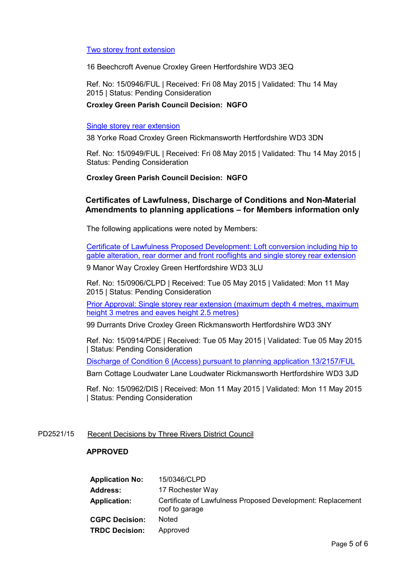# Two storey front extension

16 Beechcroft Avenue Croxley Green Hertfordshire WD3 3EQ

Ref. No: 15/0946/FUL | Received: Fri 08 May 2015 | Validated: Thu 14 May 2015 | Status: Pending Consideration

# **Croxley Green Parish Council Decision: NGFO**

#### Single storey rear extension

38 Yorke Road Croxley Green Rickmansworth Hertfordshire WD3 3DN

Ref. No: 15/0949/FUL | Received: Fri 08 May 2015 | Validated: Thu 14 May 2015 | Status: Pending Consideration

# **Croxley Green Parish Council Decision: NGFO**

# **Certificates of Lawfulness, Discharge of Conditions and Non-Material Amendments to planning applications – for Members information only**

The following applications were noted by Members:

Certificate of Lawfulness Proposed Development: Loft conversion including hip to gable alteration, rear dormer and front rooflights and single storey rear extension

9 Manor Way Croxley Green Hertfordshire WD3 3LU

Ref. No: 15/0906/CLPD | Received: Tue 05 May 2015 | Validated: Mon 11 May 2015 | Status: Pending Consideration

Prior Approval: Single storey rear extension (maximum depth 4 metres, maximum height 3 metres and eaves height 2.5 metres)

99 Durrants Drive Croxley Green Rickmansworth Hertfordshire WD3 3NY

Ref. No: 15/0914/PDE | Received: Tue 05 May 2015 | Validated: Tue 05 May 2015 | Status: Pending Consideration

Discharge of Condition 6 (Access) pursuant to planning application 13/2157/FUL

Barn Cottage Loudwater Lane Loudwater Rickmansworth Hertfordshire WD3 3JD

Ref. No: 15/0962/DIS | Received: Mon 11 May 2015 | Validated: Mon 11 May 2015 | Status: Pending Consideration

# PD2521/15 Recent Decisions by Three Rivers District Council

#### **APPROVED**

| <b>Application No:</b> | 15/0346/CLPD                                                                  |
|------------------------|-------------------------------------------------------------------------------|
| Address:               | 17 Rochester Way                                                              |
| <b>Application:</b>    | Certificate of Lawfulness Proposed Development: Replacement<br>roof to garage |
| <b>CGPC Decision:</b>  | Noted                                                                         |
| <b>TRDC Decision:</b>  | Approved                                                                      |